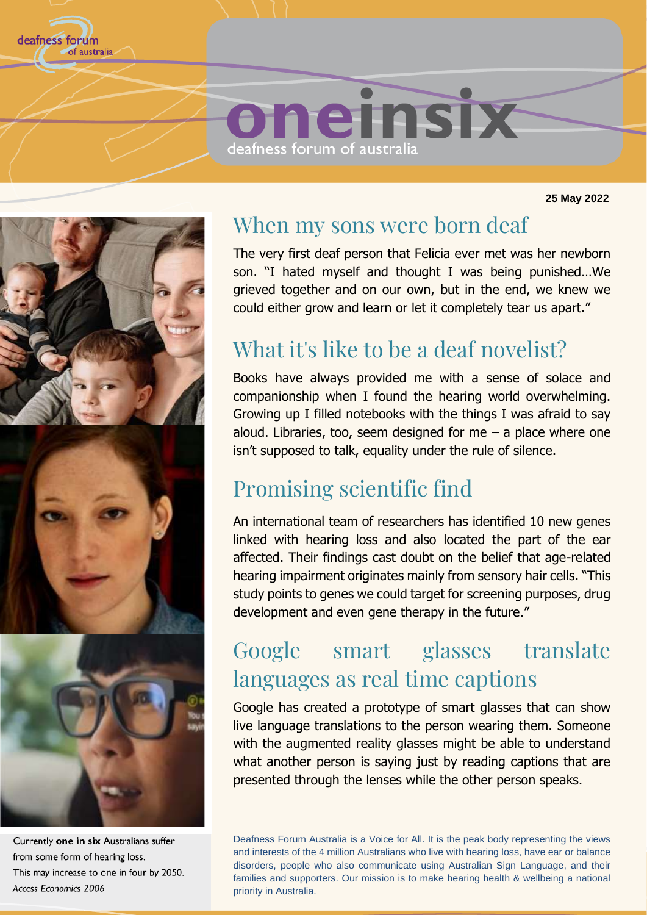

**25 May 2022**



Currently one in six Australians suffer from some form of hearing loss. This may increase to one in four by 2050. Access Economics 2006

### When my sons were born deaf

The very first deaf person that Felicia ever met was her newborn son. "I hated myself and thought I was being punished…We grieved together and on our own, but in the end, we knew we could either grow and learn or let it completely tear us apart."

### What it's like to be a deaf novelist?

Books have always provided me with a sense of solace and companionship when I found the hearing world overwhelming. Growing up I filled notebooks with the things I was afraid to say aloud. Libraries, too, seem designed for me  $-$  a place where one isn't supposed to talk, equality under the rule of silence.

### Promising scientific find

An international team of researchers has identified 10 new genes linked with hearing loss and also located the part of the ear affected. Their findings cast doubt on the belief that age-related hearing impairment originates mainly from sensory hair cells. "This study points to genes we could target for screening purposes, drug development and even gene therapy in the future."

### Google smart glasses translate languages as real time captions

Google has created a prototype of smart glasses that can show live language translations to the person wearing them. Someone with the augmented reality glasses might be able to understand what another person is saying just by reading captions that are presented through the lenses while the other person speaks.

Deafness Forum Australia is a Voice for All. It is the peak body representing the views and interests of the 4 million Australians who live with hearing loss, have ear or balance disorders, people who also communicate using Australian Sign Language, and their families and supporters. Our mission is to make hearing health & wellbeing a national priority in Australia.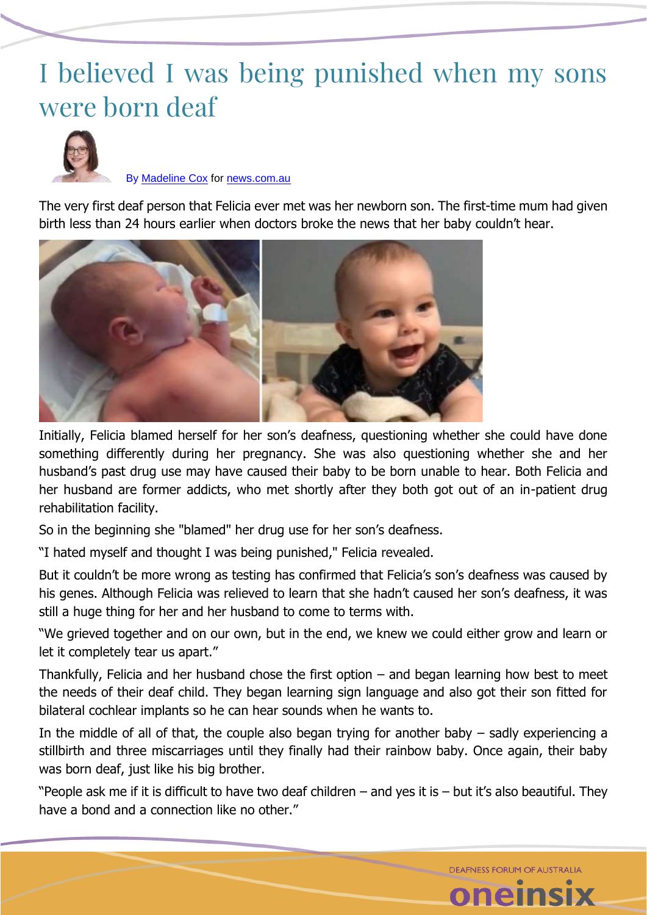# I believed I was being punished when my sons were born deaf



[B](https://www.kidspot.com.au/the-team/madeline-cox)y [Madeline Cox](https://www.kidspot.com.au/the-team/madeline-cox) for [news.com.au](https://www.kidspot.com.au/news/i-believed-i-was-being-punished-when-my-sons-were-born-deaf/news-story/9069856afc803946acb8a1bf639ece10)

The very first deaf person that Felicia ever met was her newborn son. The first-time mum had given birth less than 24 hours earlier when doctors broke the news that her baby couldn't hear.



Initially, Felicia blamed herself for her son's deafness, questioning whether she could have done something differently during her pregnancy. She was also questioning whether she and her husband's past drug use may have caused their baby to be born unable to hear. Both Felicia and her husband are former addicts, who met shortly after they both got out of an in-patient drug rehabilitation facility.

So in the beginning she "blamed" her drug use for her son's deafness.

"I hated myself and thought I was being punished," Felicia revealed.

But it couldn't be more wrong as testing has confirmed that Felicia's son's deafness was caused by his genes. Although Felicia was relieved to learn that she hadn't caused her son's deafness, it was still a huge thing for her and her husband to come to terms with.

"We grieved together and on our own, but in the end, we knew we could either grow and learn or let it completely tear us apart."

Thankfully, Felicia and her husband chose the first option – and began learning how best to meet the needs of their deaf child. They began learning sign language and also got their son fitted for bilateral cochlear implants so he can hear sounds when he wants to.

In the middle of all of that, the couple also began trying for another baby – sadly experiencing a stillbirth and three miscarriages until they finally had their rainbow baby. Once again, their baby was born deaf, just like his big brother.

"People ask me if it is difficult to have two deaf children – and yes it is – but it's also beautiful. They have a bond and a connection like no other."

DEAFNESS FORUM OF AUSTRALIA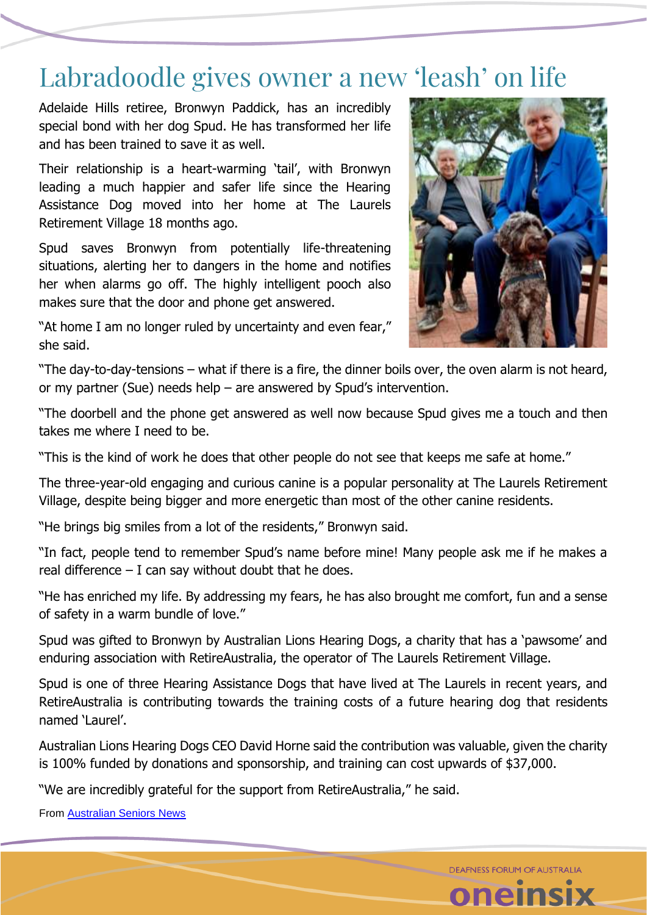### Labradoodle gives owner a new 'leash' on life

Adelaide Hills retiree, Bronwyn Paddick, has an incredibly special bond with her dog Spud. He has transformed her life and has been trained to save it as well.

Their relationship is a heart-warming 'tail', with Bronwyn leading a much happier and safer life since the Hearing Assistance Dog moved into her home at The Laurels Retirement Village 18 months ago.

Spud saves Bronwyn from potentially life-threatening situations, alerting her to dangers in the home and notifies her when alarms go off. The highly intelligent pooch also makes sure that the door and phone get answered.

"At home I am no longer ruled by uncertainty and even fear," she said.



"The day-to-day-tensions – what if there is a fire, the dinner boil[s over, the oven alarm is not heard,](https://australianseniorsnews.com.au/wp-content/uploads/2022/05/Screen-Shot-2022-05-03-at-2.43.28-pm.jpg)  or my partner (Sue) needs help – are answered by Spud's intervention.

"The doorbell and the phone get answered as well now because Spud gives me a touch and then takes me where I need to be.

"This is the kind of work he does that other people do not see that keeps me safe at home."

The three-year-old engaging and curious canine is a popular personality at The Laurels Retirement Village, despite being bigger and more energetic than most of the other canine residents.

"He brings big smiles from a lot of the residents," Bronwyn said.

"In fact, people tend to remember Spud's name before mine! Many people ask me if he makes a real difference  $-$  I can say without doubt that he does.

"He has enriched my life. By addressing my fears, he has also brought me comfort, fun and a sense of safety in a warm bundle of love."

Spud was gifted to Bronwyn by Australian Lions Hearing Dogs, a charity that has a 'pawsome' and enduring association with RetireAustralia, the operator of The Laurels Retirement Village.

Spud is one of three Hearing Assistance Dogs that have lived at The Laurels in recent years, and RetireAustralia is contributing towards the training costs of a future hearing dog that residents named 'Laurel'.

Australian Lions Hearing Dogs CEO David Horne said the contribution was valuable, given the charity is 100% funded by donations and sponsorship, and training can cost upwards of \$37,000.

"We are incredibly grateful for the support from RetireAustralia," he said.

From [Australian Seniors News](https://australianseniorsnews.com.au/featured/labradoodle-gives-owner-a-new-leash-on-life/)

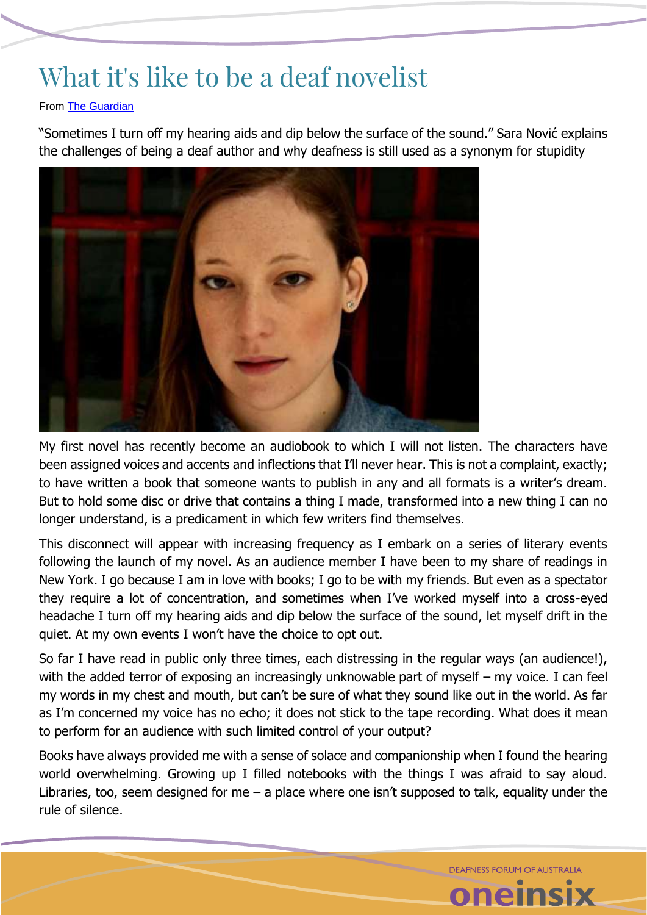# What it's like to be a deaf novelist

#### From [The Guardian](https://www.theguardian.com/books/2015/may/23/what-its-like-to-be-a-deaf-novelist?mc_cid=acd6a58b4a&mc_eid=e745170ad0&fbclid=IwAR2-jXmhnZHKM8yUbtdks0lDoJ2tckrWB8k8_3WGAUOlclWbuOQyDcHaw9M)

"Sometimes I turn off my hearing aids and dip below the surface of the sound." Sara Nović explains the challenges of being a deaf author and why deafness is still used as a synonym for stupidity



My first novel has recently become an audiobook to which I will not listen. The characters have been assigned voices and accents and inflections that I'll never hear. This is not a complaint, exactly; to have written a book that someone wants to publish in any and all formats is a writer's dream. But to hold some disc or drive that contains a thing I made, transformed into a new thing I can no longer understand, is a predicament in which few writers find themselves.

This disconnect will appear with increasing frequency as I embark on a series of literary events following the launch of my novel. As an audience member I have been to my share of readings in New York. I go because I am in love with books; I go to be with my friends. But even as a spectator they require a lot of concentration, and sometimes when I've worked myself into a cross-eyed headache I turn off my hearing aids and dip below the surface of the sound, let myself drift in the quiet. At my own events I won't have the choice to opt out.

So far I have read in public only three times, each distressing in the regular ways (an audience!), with the added terror of exposing an increasingly unknowable part of myself – my voice. I can feel my words in my chest and mouth, but can't be sure of what they sound like out in the world. As far as I'm concerned my voice has no echo; it does not stick to the tape recording. What does it mean to perform for an audience with such limited control of your output?

Books have always provided me with a sense of solace and companionship when I found the hearing world overwhelming. Growing up I filled notebooks with the things I was afraid to say aloud. Libraries, too, seem designed for me  $-$  a place where one isn't supposed to talk, equality under the rule of silence.

DEAFNESS FORUM OF AUSTRALIA

**Tell**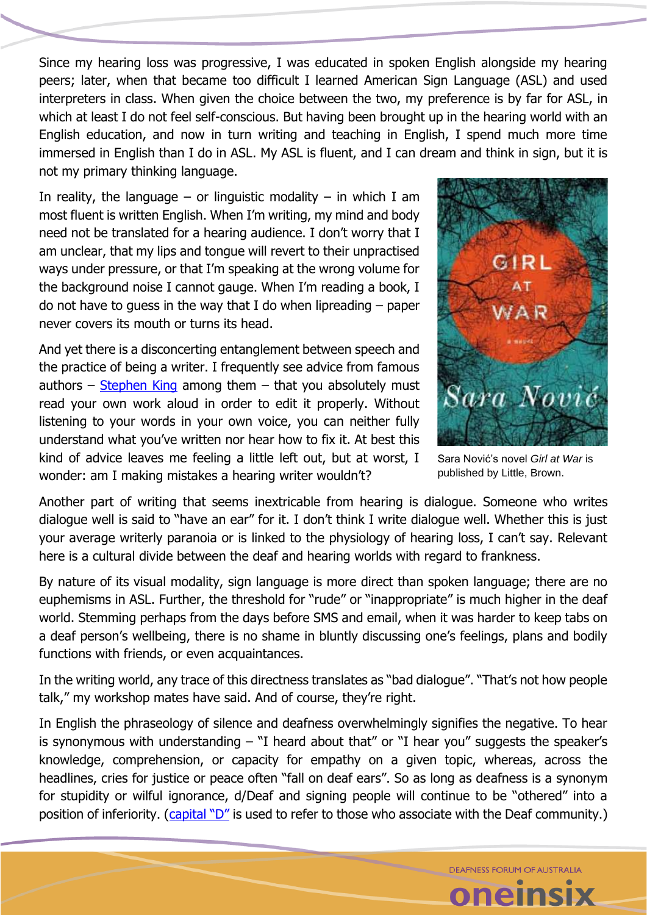Since my hearing loss was progressive, I was educated in spoken English alongside my hearing peers; later, when that became too difficult I learned American Sign Language (ASL) and used interpreters in class. When given the choice between the two, my preference is by far for ASL, in which at least I do not feel self-conscious. But having been brought up in the hearing world with an English education, and now in turn writing and teaching in English, I spend much more time immersed in English than I do in ASL. My ASL is fluent, and I can dream and think in sign, but it is not my primary thinking language.

In reality, the language – or linguistic modality – in which I am most fluent is written English. When I'm writing, my mind and body need not be translated for a hearing audience. I don't worry that I am unclear, that my lips and tongue will revert to their unpractised ways under pressure, or that I'm speaking at the wrong volume for the background noise I cannot gauge. When I'm reading a book, I do not have to guess in the way that I do when lipreading – paper never covers its mouth or turns its head.

And yet there is a disconcerting entanglement between speech and the practice of being a writer. I frequently see advice from famous authors – [Stephen King](https://www.theguardian.com/books/series/rereading-stephen-king) among them – that you absolutely must read your own work aloud in order to edit it properly. Without listening to your words in your own voice, you can neither fully understand what you've written nor hear how to fix it. At best this kind of advice leaves me feeling a little left out, but at worst, I wonder: am I making mistakes a hearing writer wouldn't?



Sara Nović's novel *Girl at War* is published by Little, Brown.

Another part of writing that seems inextricable from hearing is dialogue. Someone who writes dialogue well is said to "have an ear" for it. I don't think I write dialogue well. Whether this is just your average writerly paranoia or is linked to the physiology of hearing loss, I can't say. Relevant here is a cultural divide between the deaf and hearing worlds with regard to frankness.

By nature of its visual modality, sign language is more direct than spoken language; there are no euphemisms in ASL. Further, the threshold for "rude" or "inappropriate" is much higher in the deaf world. Stemming perhaps from the days before SMS and email, when it was harder to keep tabs on a deaf person's wellbeing, there is no shame in bluntly discussing one's feelings, plans and bodily functions with friends, or even acquaintances.

In the writing world, any trace of this directness translates as "bad dialogue". "That's not how people talk," my workshop mates have said. And of course, they're right.

In English the phraseology of silence and deafness overwhelmingly signifies the negative. To hear is synonymous with understanding  $-$  "I heard about that" or "I hear you" suggests the speaker's knowledge, comprehension, or capacity for empathy on a given topic, whereas, across the headlines, cries for justice or peace often "fall on deaf ears". So as long as deafness is a synonym for stupidity or wilful ignorance, d/Deaf and signing people will continue to be "othered" into a position of inferiority. ([capital "D"](http://www.bbc.co.uk/ouch/opinion/d_or_d_whos_deaf_and_whos_deaf.shtml) is used to refer to those who associate with the Deaf community.)

> **DEAFNESS FORUM OF AUSTRALIA ieinsi**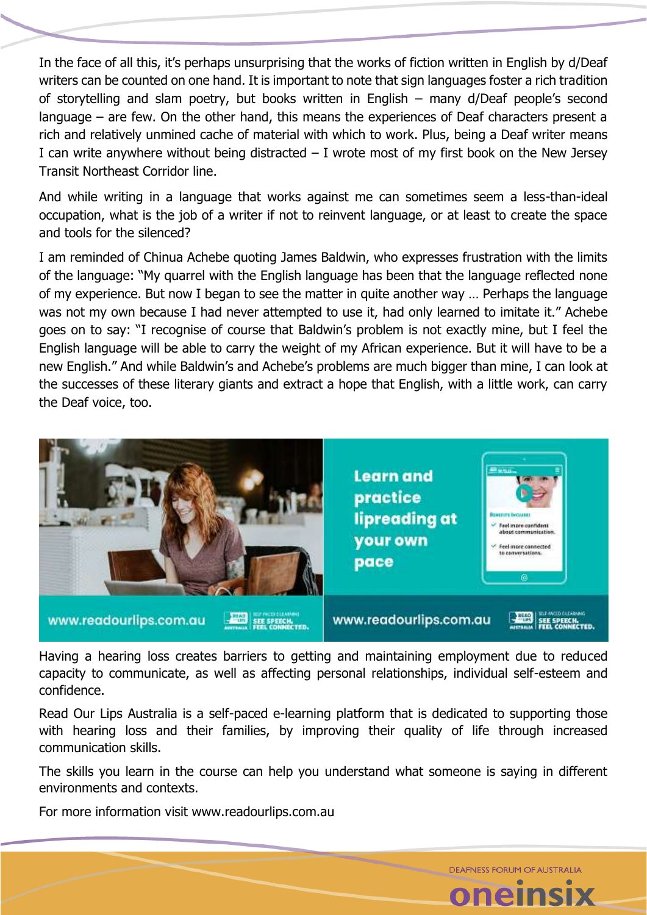In the face of all this, it's perhaps unsurprising that the works of fiction written in English by d/Deaf writers can be counted on one hand. It is important to note that sign languages foster a rich tradition of storytelling and slam poetry, but books written in English – many d/Deaf people's second language – are few. On the other hand, this means the experiences of Deaf characters present a rich and relatively unmined cache of material with which to work. Plus, being a Deaf writer means I can write anywhere without being distracted  $-$  I wrote most of my first book on the New Jersey Transit Northeast Corridor line.

And while writing in a language that works against me can sometimes seem a less-than-ideal occupation, what is the job of a writer if not to reinvent language, or at least to create the space and tools for the silenced?

I am reminded of Chinua Achebe quoting James Baldwin, who expresses frustration with the limits of the language: "My quarrel with the English language has been that the language reflected none of my experience. But now I began to see the matter in quite another way … Perhaps the language was not my own because I had never attempted to use it, had only learned to imitate it." Achebe goes on to say: "I recognise of course that Baldwin's problem is not exactly mine, but I feel the English language will be able to carry the weight of my African experience. But it will have to be a new English." And while Baldwin's and Achebe's problems are much bigger than mine, I can look at the successes of these literary giants and extract a hope that English, with a little work, can carry the Deaf voice, too.



Having a hearing loss creates barriers to getting and maintaining employment due to reduced capacity to communicate, as well as affecting personal relationships, individual self-esteem and confidence.

Read Our Lips Australia is a self-paced e-learning platform that is dedicated to supporting those with hearing loss and their families, by improving their quality of life through increased communication skills.

The skills you learn in the course can help you understand what someone is saying in different environments and contexts.

**DEAFNESS FORUM OF AUSTRALIA** 

**1elf** 

For more information [visit www.readourlips.com.au](http://www.readourlips.com.au/)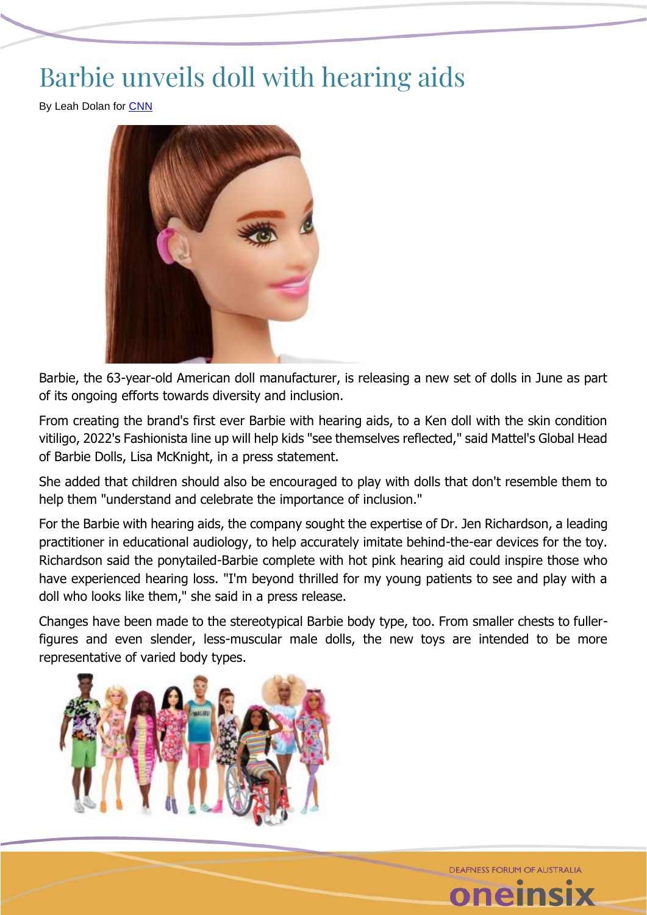## Barbie unveils doll with hearing aids

By Leah Dolan for [CNN](https://edition.cnn.com/style/article/barbie-hearing-aid-ken-vitiligo/index.html)



Barbie, the 63-year-old American doll manufacturer, is releasing a new set of dolls in June as part of its ongoing efforts towards diversity and inclusion.

From creating the brand's first ever Barbie with hearing aids, to a Ken doll with the skin condition vitiligo, 2022's Fashionista line up will help kids "see themselves reflected," said Mattel's Global Head of Barbie Dolls, Lisa McKnight, in a press statement.

She added that children should also be encouraged to play with dolls that don't resemble them to help them "understand and celebrate the importance of inclusion."

For the Barbie with hearing aids, the company sought the expertise of Dr. Jen Richardson, a leading practitioner in educational audiology, to help accurately imitate behind-the-ear devices for the toy. Richardson said the ponytailed-Barbie complete with hot pink hearing aid could inspire those who have experienced hearing loss. "I'm beyond thrilled for my young patients to see and play with a doll who looks like them," she said in a press release.

Changes have been made to the stereotypical Barbie body type, too. From smaller chests to fullerfigures and even slender, less-muscular male dolls, the new toys are intended to be more representative of varied body types.

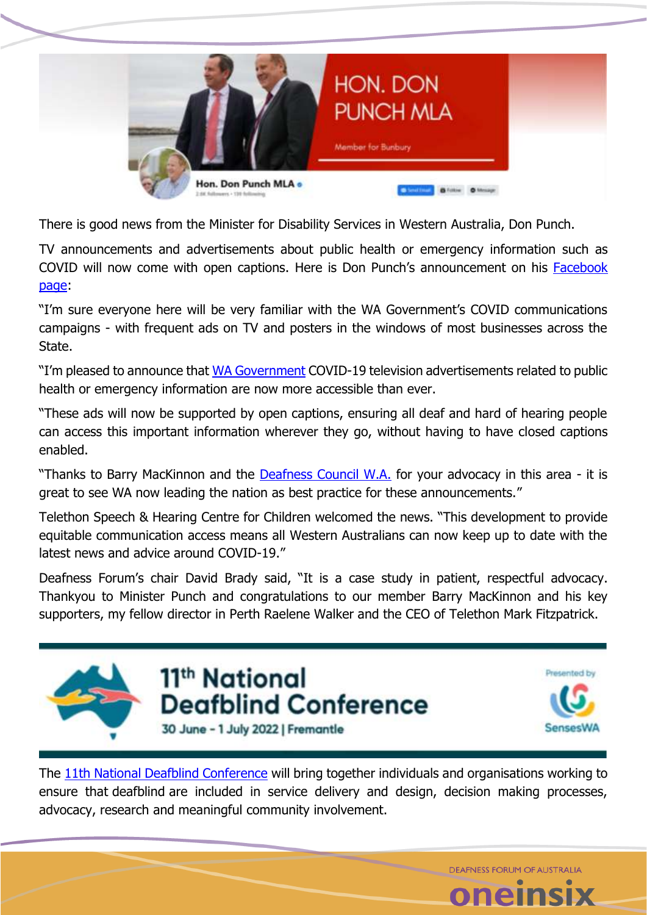

There is good news from the Minister for Disability Services in Western Australia, Don Punch.

TV announcements and advertisements about public health or emergency information such as COVID will now come with open captions. Here is Don Punch's announcement on his [Facebook](https://www.facebook.com/donpunchmla) [page:](https://www.facebook.com/donpunchmla)

"I'm sure everyone here will be very familiar with the WA Government's COVID communications campaigns - with frequent ads on TV and posters in the windows of most businesses across the State.

"I'm pleased to announce that [WA Government](https://www.facebook.com/wagovnews?__cft__%5b0%5d=AZW_D74p6GV8Mb_-SecUQMTs7fdi9F1Lew3VuFaZHwTrvp-WL0acsUYKaHwUCuxAJr1ETDYx9aR1troANGk17cCKeLZF48Qfzm10RXPRoXuv1PsucN85DUFYfSdKby90xesbNKrbL-LG0HjhrzdUlGX2&__tn__=-%5dK*F) COVID-19 television advertisements related to public health or emergency information are now more accessible than ever.

"These ads will now be supported by open captions, ensuring all deaf and hard of hearing people can access this important information wherever they go, without having to have closed captions enabled.

"Thanks to Barry MacKinnon and the [Deafness Council W.A.](https://www.facebook.com/Deafness-Council-WA-223847797668018/?__cft__%5b0%5d=AZW_D74p6GV8Mb_-SecUQMTs7fdi9F1Lew3VuFaZHwTrvp-WL0acsUYKaHwUCuxAJr1ETDYx9aR1troANGk17cCKeLZF48Qfzm10RXPRoXuv1PsucN85DUFYfSdKby90xesbNKrbL-LG0HjhrzdUlGX2&__tn__=kK*F) for your advocacy in this area - it is great to see WA now leading the nation as best practice for these announcements."

Telethon Speech & Hearing Centre for Children welcomed the news. "This development to provide equitable communication access means all Western Australians can now keep up to date with the latest news and advice around COVID-19."

Deafness Forum's chair David Brady said, "It is a case study in patient, respectful advocacy. Thankyou to Minister Punch and congratulations to our member Barry MacKinnon and his key supporters, my fellow director in Perth Raelene Walker and the CEO of Telethon Mark Fitzpatrick.



11<sup>th</sup> National **Deafblind Conference** 30 June - 1 July 2022 | Fremantle



The [11th National Deafblind Conference](http://www.ausdbconf2022.com.au/) will bring together individuals and organisations working to ensure that deafblind are included in service delivery and design, decision making processes, advocacy, research and meaningful community involvement.

> **DEAFNESS FORUM OF AUSTRALIA** eir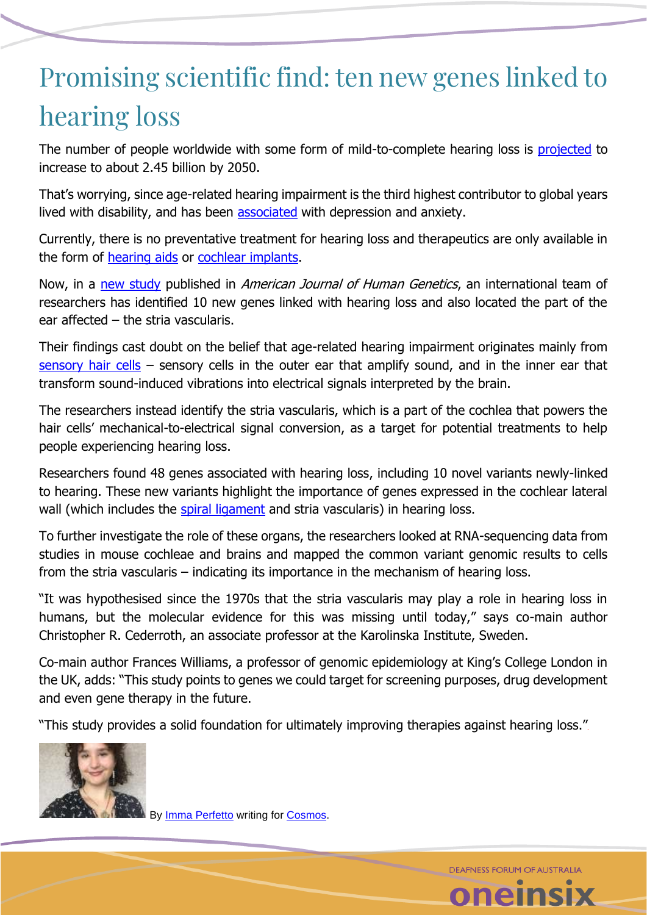# Promising scientific find: ten new genes linked to hearing loss

The number of people worldwide with some form of mild-to-complete hearing loss is [projected](https://www.thelancet.com/journals/lancet/article/PIIS0140-6736(21)00516-X/fulltext) to increase to about 2.45 billion by 2050.

That's worrying, since age-related hearing impairment is the third highest contributor to global years lived with disability, and has been [associated](https://jamanetwork.com/journals/jamaotolaryngology/fullarticle/1835392) with depression and anxiety.

Currently, there is no preventative treatment for hearing loss and therapeutics are only available in the form of [hearing aids](https://cosmosmagazine.com/technology/say-what-how-hearing-loops-amplify-one-voice-above-the-rest/) or [cochlear implants.](https://cosmosmagazine.com/health/body-and-mind/explainer-cochlear-implants-function/)

Now, in a [new study](https://www.cell.com/ajhg/fulltext/S0002-9297(22)00158-6#%20) published in American Journal of Human Genetics, an international team of researchers has identified 10 new genes linked with hearing loss and also located the part of the ear affected – the stria vascularis.

Their findings cast doubt on the belief that age-related hearing impairment originates mainly from [sensory hair cells](https://cosmosmagazine.com/science/genetic-discovery-reverse-hearing-loss/) – sensory cells in the outer ear that amplify sound, and in the inner ear that transform sound-induced vibrations into electrical signals interpreted by the brain.

The researchers instead identify the stria vascularis, which is a part of the cochlea that powers the hair cells' mechanical-to-electrical signal conversion, as a target for potential treatments to help people experiencing hearing loss.

Researchers found 48 genes associated with hearing loss, including 10 novel variants newly-linked to hearing. These new variants highlight the importance of genes expressed in the cochlear lateral wall (which includes the [spiral ligament](https://www.sciencedirect.com/topics/medicine-and-dentistry/spiral-ligament) and stria vascularis) in hearing loss.

To further investigate the role of these organs, the researchers looked at RNA-sequencing data from studies in mouse cochleae and brains and mapped the common variant genomic results to cells from the stria vascularis – indicating its importance in the mechanism of hearing loss.

"It was hypothesised since the 1970s that the stria vascularis may play a role in hearing loss in humans, but the molecular evidence for this was missing until today," says co-main author Christopher R. Cederroth, an associate professor at the Karolinska Institute, Sweden.

Co-main author Frances Williams, a professor of genomic epidemiology at King's College London in the UK, adds: "This study points to genes we could target for screening purposes, drug development and even gene therapy in the future.

DEAFNESS FORUM OF AUSTRALIA

eir

"This study provides a solid foundation for ultimately improving therapies against hearing loss."



[By Imma Perfetto](https://cosmosmagazine.com/contributor/imma-perfetto) writing for [Cosmos.](https://cosmosmagazine.com/news/hearing-loss-stria-vascularis/)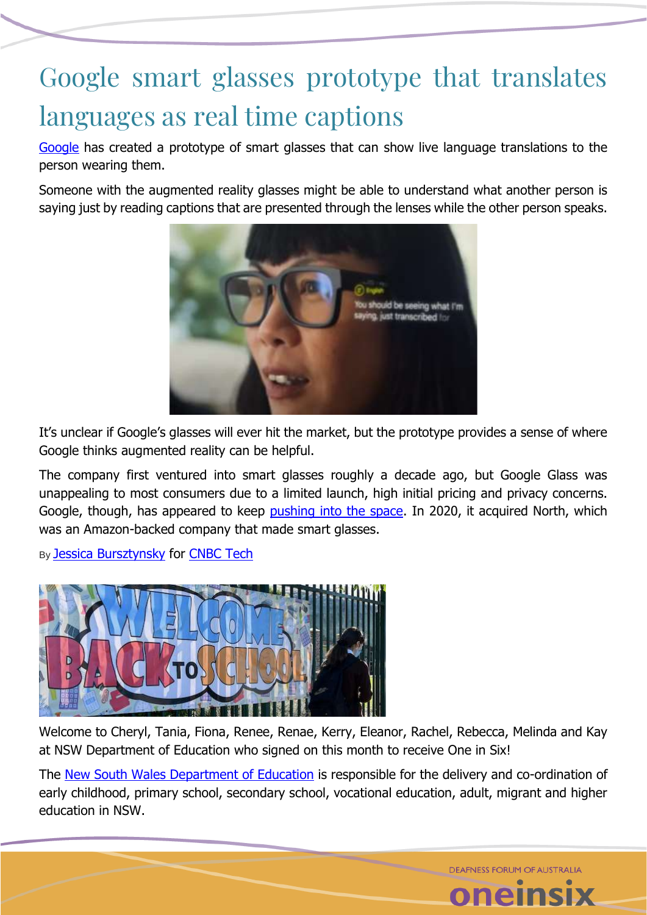# Google smart glasses prototype that translates languages as real time captions

[Google](https://www.cnbc.com/quotes/GOOGL) has created a prototype of smart glasses that can show live language translations to the person wearing them.

Someone with the augmented reality glasses might be able to understand what another person is saying just by reading captions that are presented through the lenses while the other person speaks.



It's unclear if Google's glasses will ever hit the market, but the prototype provides a sense of where Google thinks augmented reality can be helpful.

The company first ventured into smart glasses roughly a decade ago, but Google Glass was unappealing to most consumers due to a limited launch, high initial pricing and privacy concerns. Google, though, has appeared to keep [pushing into the space.](https://www.cnbc.com/2020/06/30/google-acquires-north-augmented-reality-glasses-start-up.html) In 2020, it acquired North, which was an Amazon-backed company that made smart glasses.

By [Jessica Bursztynsky](https://www.cnbc.com/jessica-bursztynsky/) for [CNBC Tech](https://www.cnbc.com/2022/05/11/google-smart-glasses-prototype-translates-languages-in-real-time.html)



Welcome to Cheryl, Tania, Fiona, Renee, Renae, Kerry, Eleanor, Rachel, Rebecca, Melinda and Kay at NSW Department of Education who signed on this month to receive One in Six!

The [New South Wales Department of Education](https://education.nsw.gov.au/) is responsible for the delivery and co-ordination of early childhood, primary school, secondary school, vocational education, adult, migrant and higher education in NSW.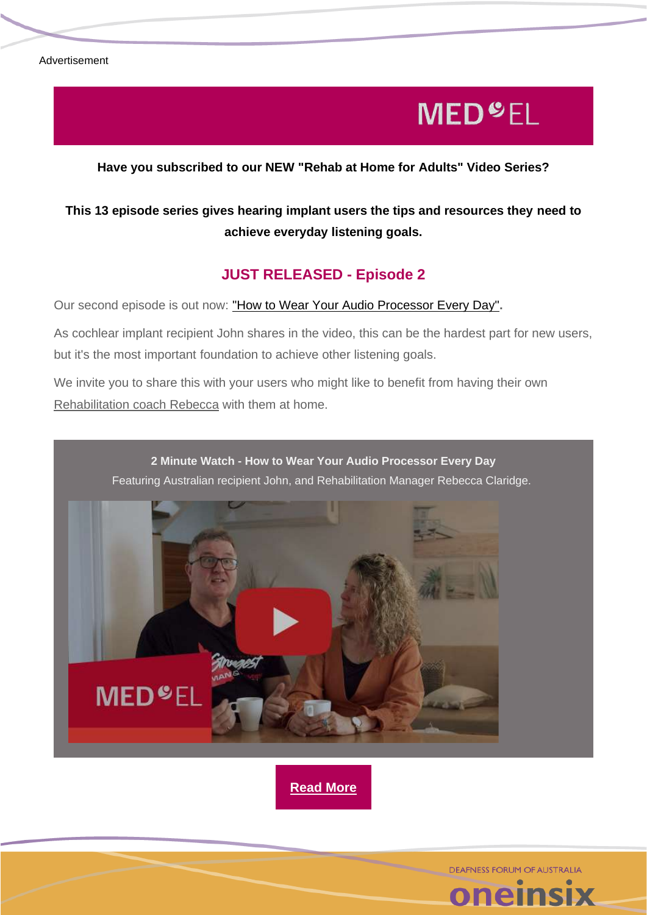# **MED**<sup>SEL</sup>

#### **Have you subscribed to our NEW "Rehab at Home for Adults" Video Series?**

### **This 13 episode series gives hearing implant users the tips and resources they need to achieve everyday listening goals.**

### **JUST RELEASED - Episode 2**

Our second episode is out now: ["How to Wear Your Audio Processor Every Day"](https://www.youtube.com/watch?v=HnTYs1clhXU)**.**

As cochlear implant recipient John shares in the video, this can be the hardest part for new users, but it's the most important foundation to achieve other listening goals.

We invite you to share this with your users who might like to benefit from having their own [Rehabilitation coach Rebecca](mailto:Rebecca.Claridge@medel.com?subject=Rehab%20At%20Home%20with%20Rebecca) with them at home.



**[Read More](https://blog.medel.com/how-to-wear-your-audio-processor-every-day/)**

**DEAFNESS FORUM OF AUSTRALIA**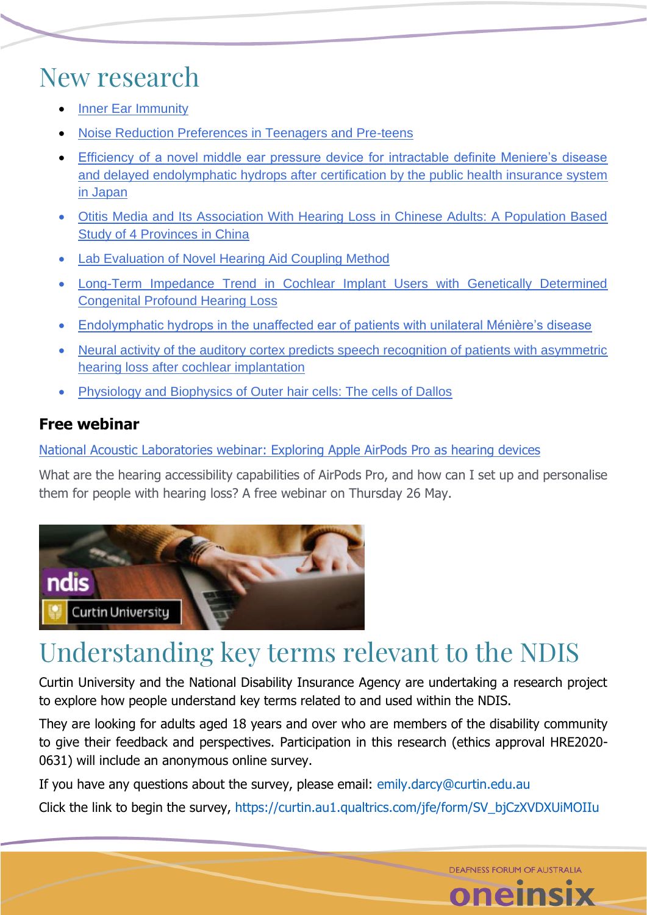## New research

- [Inner Ear Immunity](https://click.pstmrk.it/2s/www.sciencedirect.com%2Fscience%2Farticle%2Fpii%2FS0378595522000879%3Futm_source%3Dhearingtracker.com%26utm_medium%3Dnewsletter/rZuNUC0N/tHcw/1OeYQAHfbs)
- [Noise Reduction Preferences in Teenagers and Pre-teens](https://click.pstmrk.it/2s/clinicaltrials.gov%2Fct2%2Fshow%2FNCT05372094%3Futm_source%3Dhearingtracker.com%26utm_medium%3Dnewsletter/sJuNUC0N/tHcw/YZ-4dZOCNx)
- [Efficiency of a novel middle ear pressure device for intractable definite Meniere's disease](https://click.pstmrk.it/2s/www.tandfonline.com%2Fdoi%2Ffull%2F10.1080%2F00016489.2022.2059103%3Futm_source%3Dhearingtracker.com%26utm_medium%3Dnewsletter/spuNUC0N/tHcw/g840egSQCc)  and delayed endolymphatic hydrops after [certification by the public health insurance system](https://click.pstmrk.it/2s/www.tandfonline.com%2Fdoi%2Ffull%2F10.1080%2F00016489.2022.2059103%3Futm_source%3Dhearingtracker.com%26utm_medium%3Dnewsletter/spuNUC0N/tHcw/g840egSQCc)  [in Japan](https://click.pstmrk.it/2s/www.tandfonline.com%2Fdoi%2Ffull%2F10.1080%2F00016489.2022.2059103%3Futm_source%3Dhearingtracker.com%26utm_medium%3Dnewsletter/spuNUC0N/tHcw/g840egSQCc)
- [Otitis Media and Its Association With Hearing Loss in Chinese Adults: A Population Based](https://click.pstmrk.it/2s/www.frontiersin.org%2Farticles%2F10.3389%2Ffpubh.2022.852556%2Ffull%3Futm_source%3Dhearingtracker.com%26utm_medium%3Dnewsletter/3oqLfS0N/tHcw/YqOerAfvbt)  [Study of 4 Provinces in China](https://click.pstmrk.it/2s/www.frontiersin.org%2Farticles%2F10.3389%2Ffpubh.2022.852556%2Ffull%3Futm_source%3Dhearingtracker.com%26utm_medium%3Dnewsletter/3oqLfS0N/tHcw/YqOerAfvbt)
- [Lab Evaluation of Novel Hearing Aid Coupling Method](https://click.pstmrk.it/2s/clinicaltrials.gov%2Fct2%2Fshow%2FNCT05377359%3Futm_source%3Dhearingtracker.com%26utm_medium%3Dnewsletter/5IqLfS0N/tHcw/LFja2dJXZ_)
- [Long-Term Impedance Trend in Cochlear Implant Users with Genetically Determined](https://click.pstmrk.it/2/www.thieme-connect.de%2FDOI%2FDOI%3F10.1055%2Fs-0041-1739290%26utm_source%3Dhearingtracker.com%26utm_medium%3Dnewsletter/5oqLfS0N/tHcw/0aszmV2RdB)  [Congenital Profound Hearing Loss](https://click.pstmrk.it/2/www.thieme-connect.de%2FDOI%2FDOI%3F10.1055%2Fs-0041-1739290%26utm_source%3Dhearingtracker.com%26utm_medium%3Dnewsletter/5oqLfS0N/tHcw/0aszmV2RdB)
- [Endolymphatic hydrops in the unaffected ear of patients with unilateral Ménière's disease](https://click.pstmrk.it/2s/link.springer.com%2F10.1007%2Fs00405-022-07412-9%3Futm_source%3Dhearingtracker.com%26utm_medium%3Dnewsletter/54qLfS0N/tHcw/sUxwiNxy6J)
- [Neural activity of the auditory cortex predicts speech recognition of patients with asymmetric](https://click.pstmrk.it/2s/www.nature.com%2Farticles%2Fs41598-022-12139-y%3Futm_source%3Dhearingtracker.com%26utm_medium%3Dnewsletter/6IqLfS0N/tHcw/yXvCd192kM)  [hearing loss after cochlear implantation](https://click.pstmrk.it/2s/www.nature.com%2Farticles%2Fs41598-022-12139-y%3Futm_source%3Dhearingtracker.com%26utm_medium%3Dnewsletter/6IqLfS0N/tHcw/yXvCd192kM)
- [Physiology and Biophysics of Outer hair cells: The cells of Dallos](https://click.pstmrk.it/2s/www.sciencedirect.com%2Fscience%2Farticle%2Fpii%2FS0378595522000946%3Futm_source%3Dhearingtracker.com%26utm_medium%3Dnewsletter/6YqLfS0N/tHcw/TTeeSrS7_C)

### **Free webinar**

[National Acoustic Laboratories webinar: Exploring Apple AirPods Pro as hearing devices](https://click.pstmrk.it/2s/www.eventbrite.com.au%2Fe%2Fexploring-apple-airpods-pro-as-hearing-devices-tickets-337740580167%3Futm_source%3Dhearingtracker.com%26utm_medium%3Dnewsletter/04qLfS0N/tHcw/VaSEC6RLfD)

What are the hearing accessibility capabilities of AirPods Pro, and how can I set up and personalise them for people with hearing loss? A free webinar on Thursday 26 May.



## Understanding key terms relevant to the NDIS

Curtin University and the National Disability Insurance Agency are undertaking a research project to explore how people understand key terms related to and used within the NDIS.

They are looking for adults aged 18 years and over who are members of the disability community to give their feedback and perspectives. Participation in this research (ethics approval HRE2020- 0631) will include an anonymous online survey.

If you have any questions about the survey, please email: emily.darcy@curtin.edu.au

Click the link to begin the survey, https://curtin.au1.qualtrics.com/jfe/form/SV\_bjCzXVDXUiMOIIu

**DEAFNESS FORUM OF AUSTRALIA** 

**PEINSI**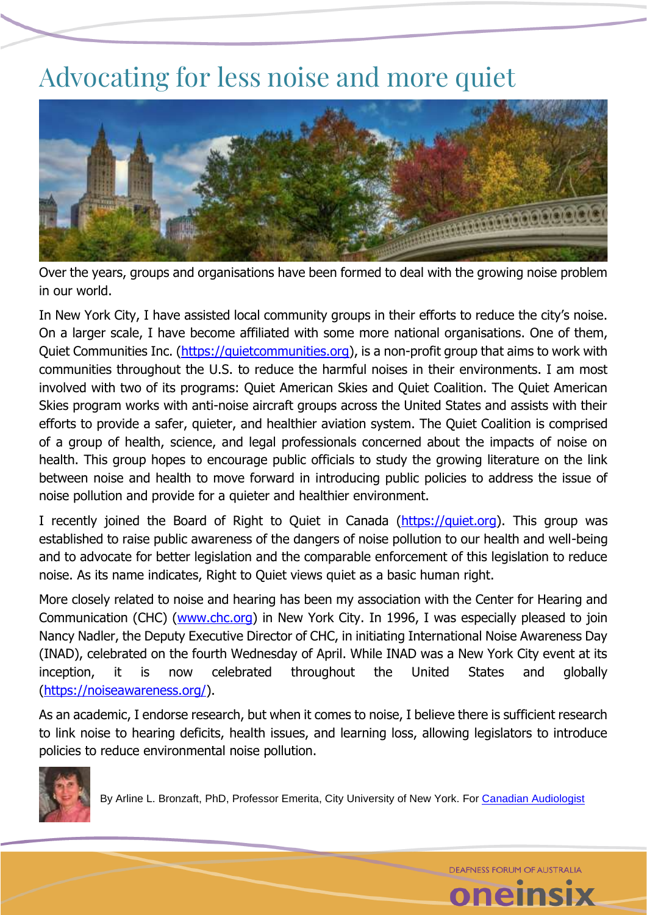# Advocating for less noise and more quiet



Over the years, groups and organisations have been formed to deal with the growing noise problem in our world.

In New York City, I have assisted local community groups in their efforts to reduce the city's noise. On a larger scale, I have become affiliated with some more national organisations. One of them, Quiet Communities Inc. [\(https://quietcommunities.org\)](https://quietcommunities.org/), is a non-profit group that aims to work with communities throughout the U.S. to reduce the harmful noises in their environments. I am most involved with two of its programs: Quiet American Skies and Quiet Coalition. The Quiet American Skies program works with anti-noise aircraft groups across the United States and assists with their efforts to provide a safer, quieter, and healthier aviation system. The Quiet Coalition is comprised of a group of health, science, and legal professionals concerned about the impacts of noise on health. This group hopes to encourage public officials to study the growing literature on the link between noise and health to move forward in introducing public policies to address the issue of noise pollution and provide for a quieter and healthier environment.

I recently joined the Board of Right to Quiet in Canada [\(https://quiet.org\)](https://quiet.org/). This group was established to raise public awareness of the dangers of noise pollution to our health and well-being and to advocate for better legislation and the comparable enforcement of this legislation to reduce noise. As its name indicates, Right to Quiet views quiet as a basic human right.

More closely related to noise and hearing has been my association with the Center for Hearing and Communication (CHC) [\(www.chc.org\)](http://www.chc.org/) in New York City. In 1996, I was especially pleased to join Nancy Nadler, the Deputy Executive Director of CHC, in initiating International Noise Awareness Day (INAD), celebrated on the fourth Wednesday of April. While INAD was a New York City event at its inception, it is now celebrated throughout the United States and globally [\(https://noiseawareness.org/\)](https://noiseawareness.org/).

As an academic, I endorse research, but when it comes to noise, I believe there is sufficient research to link noise to hearing deficits, health issues, and learning loss, allowing legislators to introduce policies to reduce environmental noise pollution.



By Arline L. Bronzaft, PhD, Professor Emerita, City University of New York. For [Canadian Audiologist](https://canadianaudiologist.ca/advocating-for-less-noise-and-more-quiet/)

DEAFNESS FORUM OF AUSTRALIA **neir**